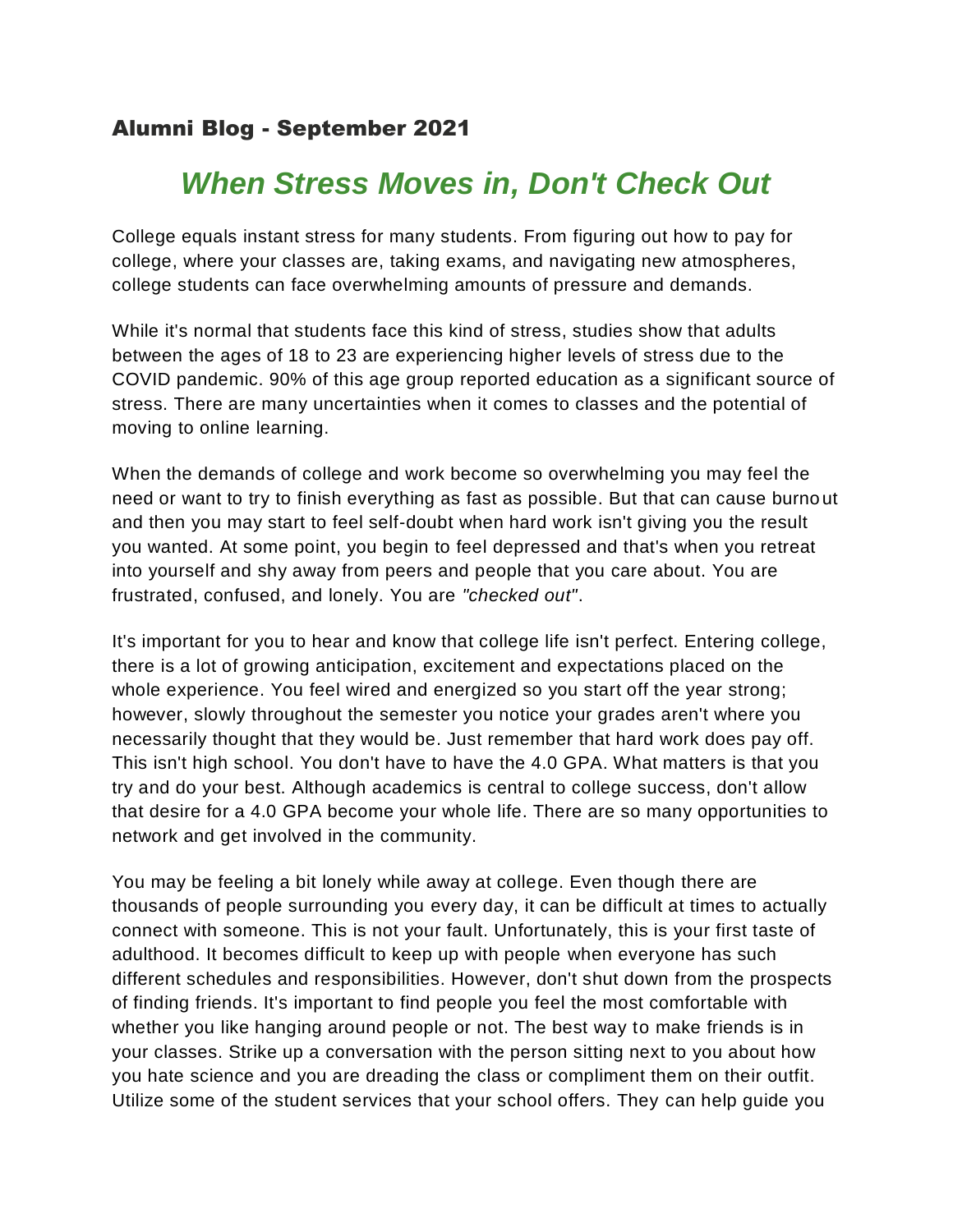## Alumni Blog - September 2021

## *When Stress Moves in, Don't Check Out*

College equals instant stress for many students. From figuring out how to pay for college, where your classes are, taking exams, and navigating new atmospheres, college students can face overwhelming amounts of pressure and demands.

While it's normal that students face this kind of stress, studies show that adults between the ages of 18 to 23 are experiencing higher levels of stress due to the COVID pandemic. 90% of this age group reported education as a significant source of stress. There are many uncertainties when it comes to classes and the potential of moving to online learning.

When the demands of college and work become so overwhelming you may feel the need or want to try to finish everything as fast as possible. But that can cause burno ut and then you may start to feel self-doubt when hard work isn't giving you the result you wanted. At some point, you begin to feel depressed and that's when you retreat into yourself and shy away from peers and people that you care about. You are frustrated, confused, and lonely. You are *"checked out"*.

It's important for you to hear and know that college life isn't perfect. Entering college, there is a lot of growing anticipation, excitement and expectations placed on the whole experience. You feel wired and energized so you start off the year strong; however, slowly throughout the semester you notice your grades aren't where you necessarily thought that they would be. Just remember that hard work does pay off. This isn't high school. You don't have to have the 4.0 GPA. What matters is that you try and do your best. Although academics is central to college success, don't allow that desire for a 4.0 GPA become your whole life. There are so many opportunities to network and get involved in the community.

You may be feeling a bit lonely while away at college. Even though there are thousands of people surrounding you every day, it can be difficult at times to actually connect with someone. This is not your fault. Unfortunately, this is your first taste of adulthood. It becomes difficult to keep up with people when everyone has such different schedules and responsibilities. However, don't shut down from the prospects of finding friends. It's important to find people you feel the most comfortable with whether you like hanging around people or not. The best way to make friends is in your classes. Strike up a conversation with the person sitting next to you about how you hate science and you are dreading the class or compliment them on their outfit. Utilize some of the student services that your school offers. They can help guide you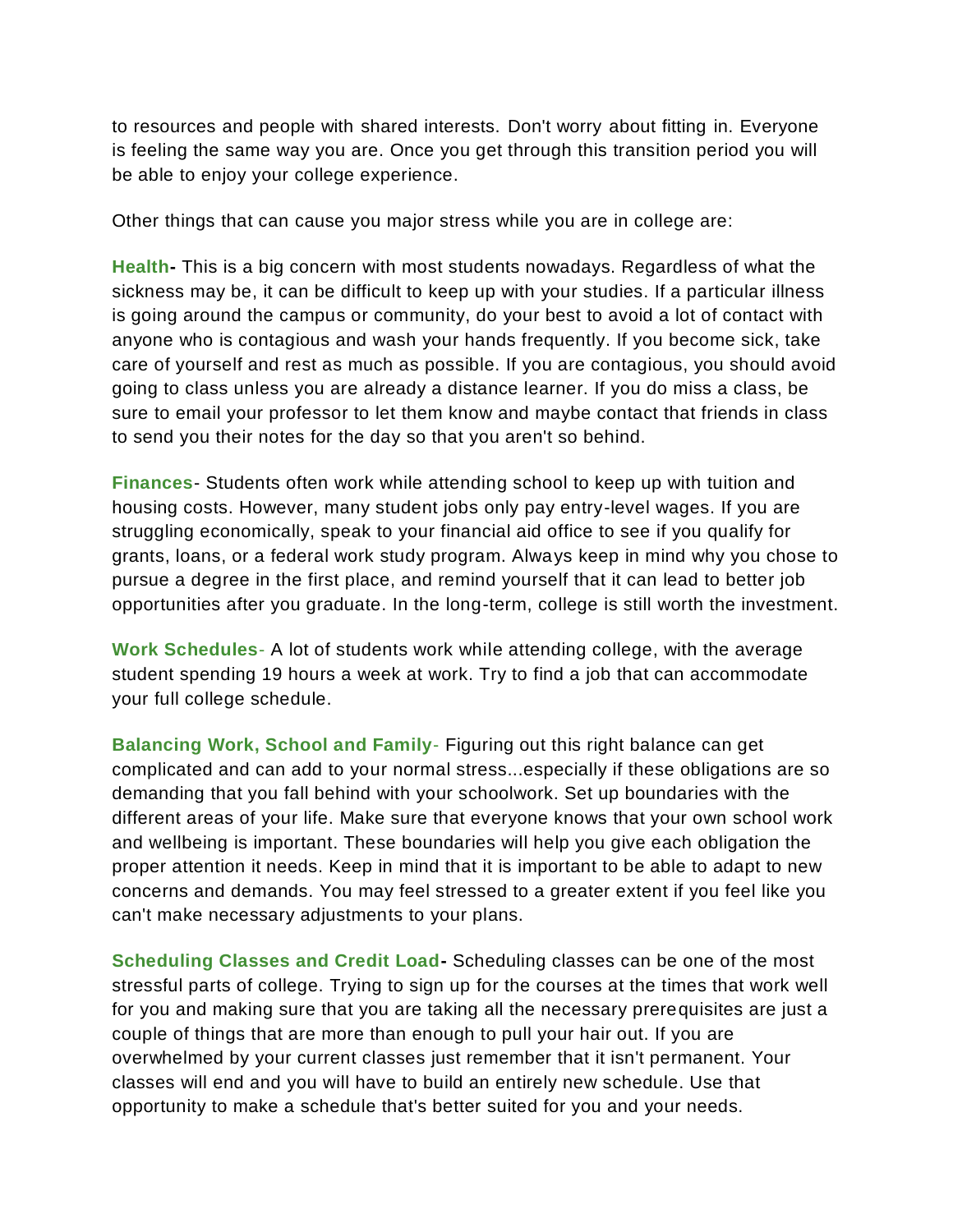to resources and people with shared interests. Don't worry about fitting in. Everyone is feeling the same way you are. Once you get through this transition period you will be able to enjoy your college experience.

Other things that can cause you major stress while you are in college are:

**Health-** This is a big concern with most students nowadays. Regardless of what the sickness may be, it can be difficult to keep up with your studies. If a particular illness is going around the campus or community, do your best to avoid a lot of contact with anyone who is contagious and wash your hands frequently. If you become sick, take care of yourself and rest as much as possible. If you are contagious, you should avoid going to class unless you are already a distance learner. If you do miss a class, be sure to email your professor to let them know and maybe contact that friends in class to send you their notes for the day so that you aren't so behind.

**Finances**- Students often work while attending school to keep up with tuition and housing costs. However, many student jobs only pay entry-level wages. If you are struggling economically, speak to your financial aid office to see if you qualify for grants, loans, or a federal work study program. Always keep in mind why you chose to pursue a degree in the first place, and remind yourself that it can lead to better job opportunities after you graduate. In the long-term, college is still worth the investment.

**Work Schedules**- A lot of students work while attending college, with the average student spending 19 hours a week at work. Try to find a job that can accommodate your full college schedule.

**Balancing Work, School and Family**- Figuring out this right balance can get complicated and can add to your normal stress...especially if these obligations are so demanding that you fall behind with your schoolwork. Set up boundaries with the different areas of your life. Make sure that everyone knows that your own school work and wellbeing is important. These boundaries will help you give each obligation the proper attention it needs. Keep in mind that it is important to be able to adapt to new concerns and demands. You may feel stressed to a greater extent if you feel like you can't make necessary adjustments to your plans.

**Scheduling Classes and Credit Load-** Scheduling classes can be one of the most stressful parts of college. Trying to sign up for the courses at the times that work well for you and making sure that you are taking all the necessary prerequisites are just a couple of things that are more than enough to pull your hair out. If you are overwhelmed by your current classes just remember that it isn't permanent. Your classes will end and you will have to build an entirely new schedule. Use that opportunity to make a schedule that's better suited for you and your needs.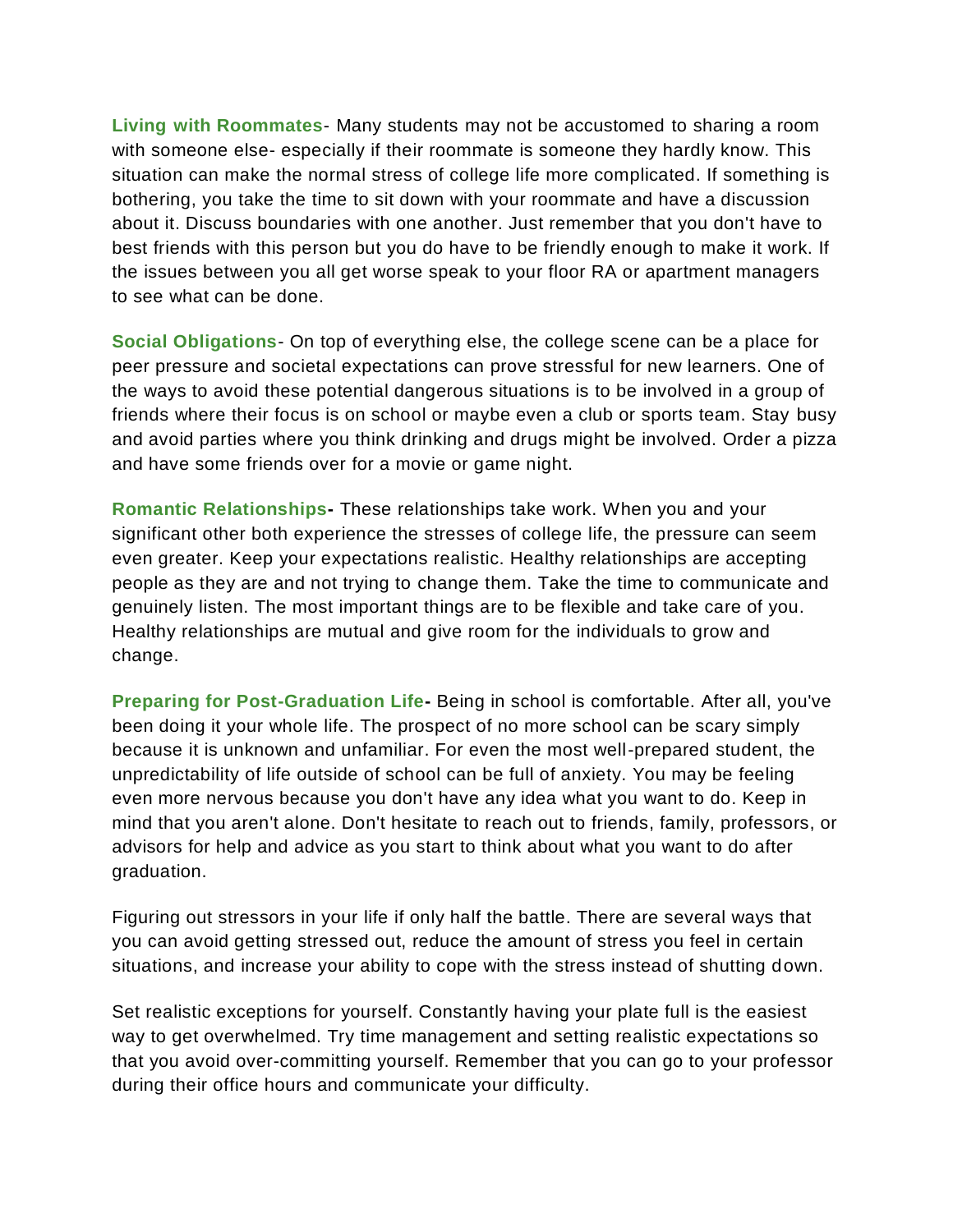**Living with Roommates**- Many students may not be accustomed to sharing a room with someone else- especially if their roommate is someone they hardly know. This situation can make the normal stress of college life more complicated. If something is bothering, you take the time to sit down with your roommate and have a discussion about it. Discuss boundaries with one another. Just remember that you don't have to best friends with this person but you do have to be friendly enough to make it work. If the issues between you all get worse speak to your floor RA or apartment managers to see what can be done.

**Social Obligations**- On top of everything else, the college scene can be a place for peer pressure and societal expectations can prove stressful for new learners. One of the ways to avoid these potential dangerous situations is to be involved in a group of friends where their focus is on school or maybe even a club or sports team. Stay busy and avoid parties where you think drinking and drugs might be involved. Order a pizza and have some friends over for a movie or game night.

**Romantic Relationships-** These relationships take work. When you and your significant other both experience the stresses of college life, the pressure can seem even greater. Keep your expectations realistic. Healthy relationships are accepting people as they are and not trying to change them. Take the time to communicate and genuinely listen. The most important things are to be flexible and take care of you. Healthy relationships are mutual and give room for the individuals to grow and change.

**Preparing for Post-Graduation Life-** Being in school is comfortable. After all, you've been doing it your whole life. The prospect of no more school can be scary simply because it is unknown and unfamiliar. For even the most well-prepared student, the unpredictability of life outside of school can be full of anxiety. You may be feeling even more nervous because you don't have any idea what you want to do. Keep in mind that you aren't alone. Don't hesitate to reach out to friends, family, professors, or advisors for help and advice as you start to think about what you want to do after graduation.

Figuring out stressors in your life if only half the battle. There are several ways that you can avoid getting stressed out, reduce the amount of stress you feel in certain situations, and increase your ability to cope with the stress instead of shutting down.

Set realistic exceptions for yourself. Constantly having your plate full is the easiest way to get overwhelmed. Try time management and setting realistic expectations so that you avoid over-committing yourself. Remember that you can go to your professor during their office hours and communicate your difficulty.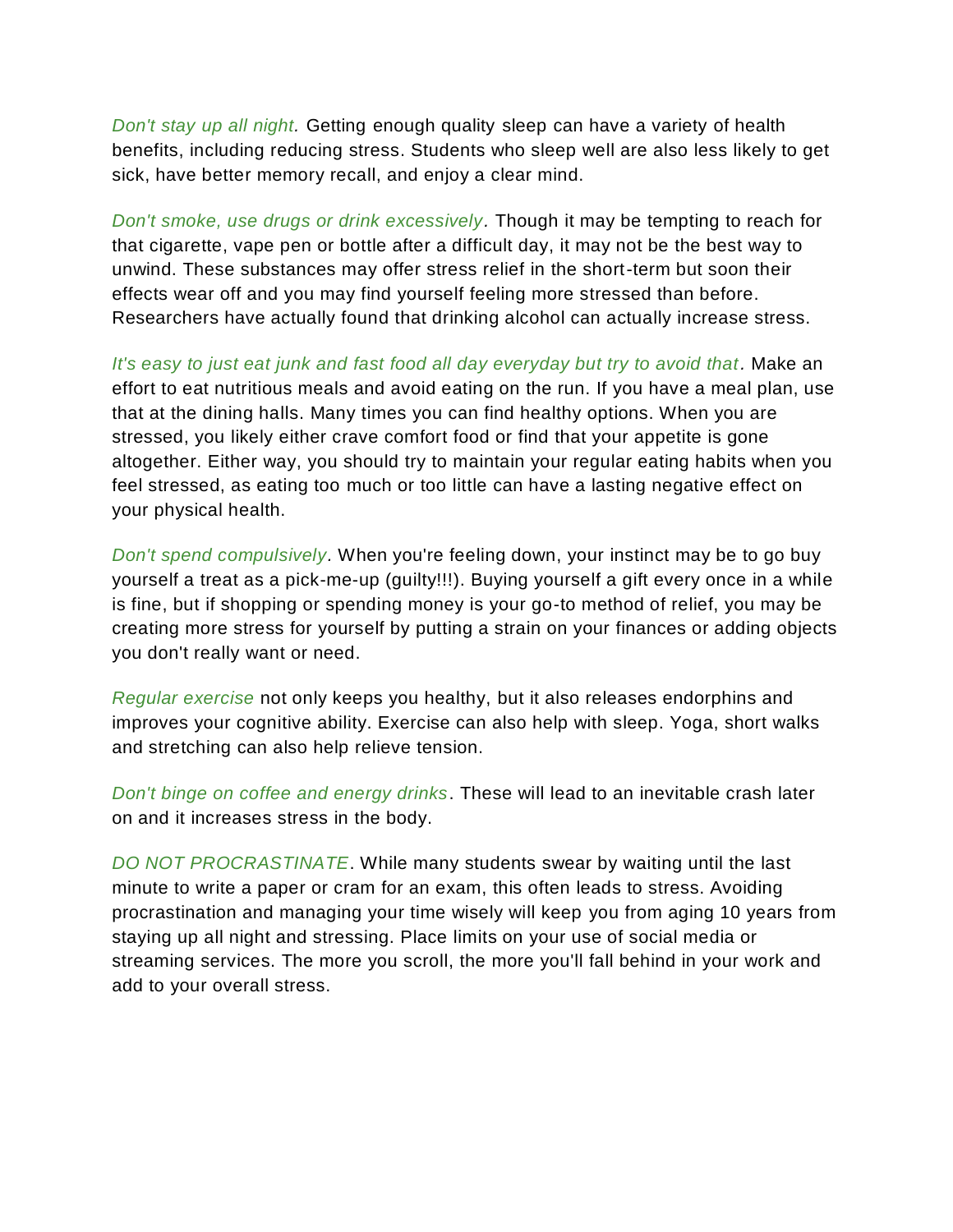*Don't stay up all night.* Getting enough quality sleep can have a variety of health benefits, including reducing stress. Students who sleep well are also less likely to get sick, have better memory recall, and enjoy a clear mind.

*Don't smoke, use drugs or drink excessively.* Though it may be tempting to reach for that cigarette, vape pen or bottle after a difficult day, it may not be the best way to unwind. These substances may offer stress relief in the short-term but soon their effects wear off and you may find yourself feeling more stressed than before. Researchers have actually found that drinking alcohol can actually increase stress.

*It's easy to just eat junk and fast food all day everyday but try to avoid that.* Make an effort to eat nutritious meals and avoid eating on the run. If you have a meal plan, use that at the dining halls. Many times you can find healthy options. When you are stressed, you likely either crave comfort food or find that your appetite is gone altogether. Either way, you should try to maintain your regular eating habits when you feel stressed, as eating too much or too little can have a lasting negative effect on your physical health.

*Don't spend compulsively.* When you're feeling down, your instinct may be to go buy yourself a treat as a pick-me-up (guilty!!!). Buying yourself a gift every once in a while is fine, but if shopping or spending money is your go-to method of relief, you may be creating more stress for yourself by putting a strain on your finances or adding objects you don't really want or need.

*Regular exercise* not only keeps you healthy, but it also releases endorphins and improves your cognitive ability. Exercise can also help with sleep. Yoga, short walks and stretching can also help relieve tension.

*Don't binge on coffee and energy drinks*. These will lead to an inevitable crash later on and it increases stress in the body.

*DO NOT PROCRASTINATE*. While many students swear by waiting until the last minute to write a paper or cram for an exam, this often leads to stress. Avoiding procrastination and managing your time wisely will keep you from aging 10 years from staying up all night and stressing. Place limits on your use of social media or streaming services. The more you scroll, the more you'll fall behind in your work and add to your overall stress.